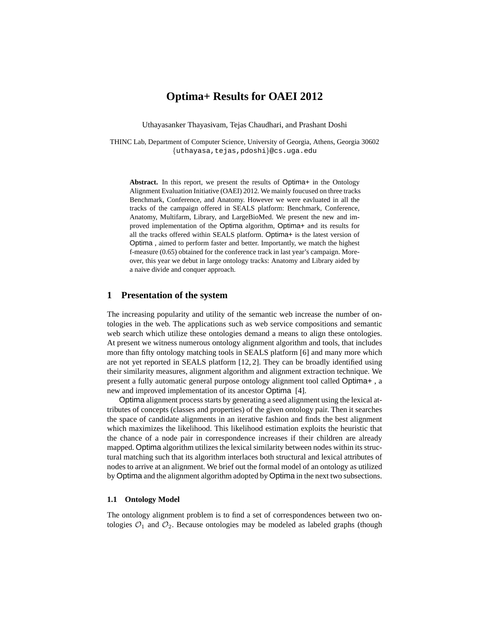# **Optima+ Results for OAEI 2012**

Uthayasanker Thayasivam, Tejas Chaudhari, and Prashant Doshi

THINC Lab, Department of Computer Science, University of Georgia, Athens, Georgia 30602 {uthayasa,tejas,pdoshi}@cs.uga.edu

**Abstract.** In this report, we present the results of Optima+ in the Ontology Alignment Evaluation Initiative (OAEI) 2012. We mainly foucused on three tracks Benchmark, Conference, and Anatomy. However we were eavluated in all the tracks of the campaign offered in SEALS platform: Benchmark, Conference, Anatomy, Multifarm, Library, and LargeBioMed. We present the new and improved implementation of the Optima algorithm, Optima+ and its results for all the tracks offered within SEALS platform. Optima+ is the latest version of Optima , aimed to perform faster and better. Importantly, we match the highest f-measure (0.65) obtained for the conference track in last year's campaign. Moreover, this year we debut in large ontology tracks: Anatomy and Library aided by a naive divide and conquer approach.

## **1 Presentation of the system**

The increasing popularity and utility of the semantic web increase the number of ontologies in the web. The applications such as web service compositions and semantic web search which utilize these ontologies demand a means to align these ontologies. At present we witness numerous ontology alignment algorithm and tools, that includes more than fifty ontology matching tools in SEALS platform [6] and many more which are not yet reported in SEALS platform [12, 2]. They can be broadly identified using their similarity measures, alignment algorithm and alignment extraction technique. We present a fully automatic general purpose ontology alignment tool called Optima+ , a new and improved implementation of its ancestor Optima [4].

Optima alignment process starts by generating a seed alignment using the lexical attributes of concepts (classes and properties) of the given ontology pair. Then it searches the space of candidate alignments in an iterative fashion and finds the best alignment which maximizes the likelihood. This likelihood estimation exploits the heuristic that the chance of a node pair in correspondence increases if their children are already mapped. Optima algorithm utilizes the lexical similarity between nodes within its structural matching such that its algorithm interlaces both structural and lexical attributes of nodes to arrive at an alignment. We brief out the formal model of an ontology as utilized by Optima and the alignment algorithm adopted by Optima in the next two subsections.

### **1.1 Ontology Model**

The ontology alignment problem is to find a set of correspondences between two ontologies  $\mathcal{O}_1$  and  $\mathcal{O}_2$ . Because ontologies may be modeled as labeled graphs (though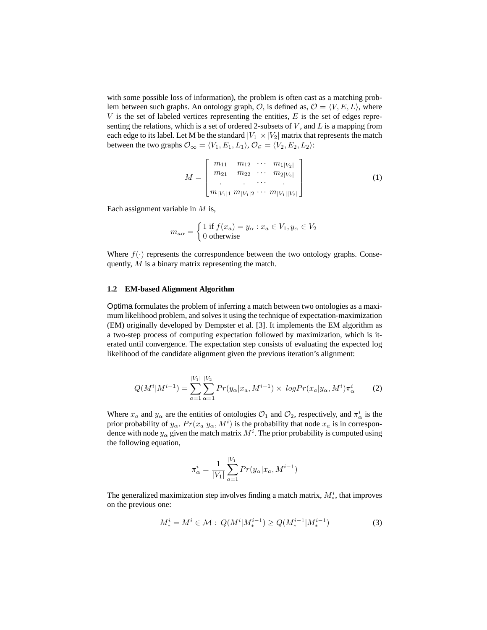with some possible loss of information), the problem is often cast as a matching problem between such graphs. An ontology graph,  $\mathcal{O}$ , is defined as,  $\mathcal{O} = \langle V, E, L \rangle$ , where  $V$  is the set of labeled vertices representing the entities,  $E$  is the set of edges representing the relations, which is a set of ordered 2-subsets of  $V$ , and  $L$  is a mapping from each edge to its label. Let M be the standard  $|V_1| \times |V_2|$  matrix that represents the match between the two graphs  $\mathcal{O}_{\infty} = \langle V_1, E_1, L_1 \rangle$ ,  $\mathcal{O}_{\in} = \langle V_2, E_2, L_2 \rangle$ :

$$
M = \begin{bmatrix} m_{11} & m_{12} & \cdots & m_{1|V_2|} \\ m_{21} & m_{22} & \cdots & m_{2|V_2|} \\ \vdots & \vdots & \ddots & \vdots \\ m_{|V_1|1} & m_{|V_1|2} & \cdots & m_{|V_1||V_2|} \end{bmatrix}
$$
 (1)

Each assignment variable in  $M$  is,

$$
m_{a\alpha} = \begin{cases} 1 \text{ if } f(x_a) = y_\alpha : x_a \in V_1, y_\alpha \in V_2 \\ 0 \text{ otherwise} \end{cases}
$$

Where  $f(\cdot)$  represents the correspondence between the two ontology graphs. Consequently, M is a binary matrix representing the match.

### **1.2 EM-based Alignment Algorithm**

Optima formulates the problem of inferring a match between two ontologies as a maximum likelihood problem, and solves it using the technique of expectation-maximization (EM) originally developed by Dempster et al. [3]. It implements the EM algorithm as a two-step process of computing expectation followed by maximization, which is iterated until convergence. The expectation step consists of evaluating the expected log likelihood of the candidate alignment given the previous iteration's alignment:

$$
Q(M^{i}|M^{i-1}) = \sum_{a=1}^{|V_1|} \sum_{\alpha=1}^{|V_2|} Pr(y_{\alpha}|x_a, M^{i-1}) \times logPr(x_a|y_{\alpha}, M^i)\pi_{\alpha}^i
$$
 (2)

Where  $x_a$  and  $y_\alpha$  are the entities of ontologies  $\mathcal{O}_1$  and  $\mathcal{O}_2$ , respectively, and  $\pi^i_\alpha$  is the prior probability of  $y_\alpha$ .  $Pr(x_a|y_\alpha, M^i)$  is the probability that node  $x_a$  is in correspondence with node  $y_\alpha$  given the match matrix  $M^i.$  The prior probability is computed using the following equation,

$$
\pi_{\alpha}^{i} = \frac{1}{|V_{1}|} \sum_{a=1}^{|V_{1}|} Pr(y_{\alpha}|x_{a}, M^{i-1})
$$

The generalized maximization step involves finding a match matrix,  $M_*^i$ , that improves on the previous one:

$$
M_*^i = M^i \in \mathcal{M} : Q(M^i | M_*^{i-1}) \ge Q(M_*^{i-1} | M_*^{i-1})
$$
\n(3)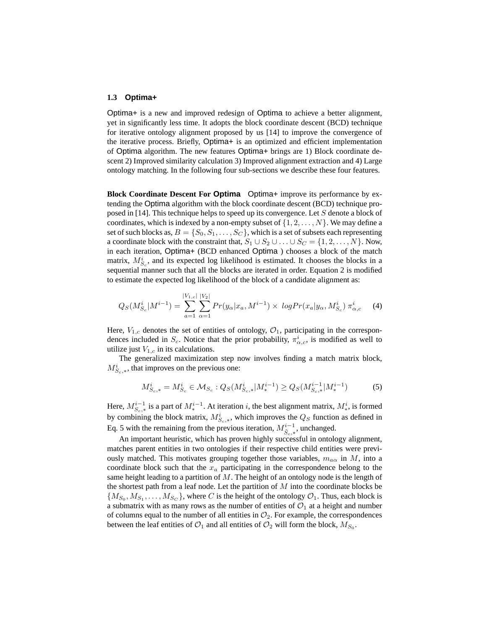#### **1.3 Optima+**

Optima+ is a new and improved redesign of Optima to achieve a better alignment, yet in significantly less time. It adopts the block coordinate descent (BCD) technique for iterative ontology alignment proposed by us [14] to improve the convergence of the iterative process. Briefly, Optima+ is an optimized and efficient implementation of Optima algorithm. The new features Optima+ brings are 1) Block coordinate descent 2) Improved similarity calculation 3) Improved alignment extraction and 4) Large ontology matching. In the following four sub-sections we describe these four features.

**Block Coordinate Descent For Optima** Optima+ improve its performance by extending the Optima algorithm with the block coordinate descent (BCD) technique proposed in [14]. This technique helps to speed up its convergence. Let S denote a block of coordinates, which is indexed by a non-empty subset of  $\{1, 2, \ldots, N\}$ . We may define a set of such blocks as,  $B = \{S_0, S_1, \ldots, S_C\}$ , which is a set of subsets each representing a coordinate block with the constraint that,  $S_1 \cup S_2 \cup \ldots \cup S_C = \{1, 2, \ldots, N\}$ . Now, in each iteration, Optima+ (BCD enhanced Optima ) chooses a block of the match matrix,  $M_{S_c}^{i}$ , and its expected log likelihood is estimated. It chooses the blocks in a sequential manner such that all the blocks are iterated in order. Equation 2 is modified to estimate the expected log likelihood of the block of a candidate alignment as:

$$
Q_S(M_{S_c}^i|M^{i-1}) = \sum_{a=1}^{|V_{1,c}|} \sum_{\alpha=1}^{|V_2|} Pr(y_{\alpha}|x_a, M^{i-1}) \times logPr(x_a|y_{\alpha}, M_{S_c}^i) \pi_{\alpha,c}^i \tag{4}
$$

Here,  $V_{1,c}$  denotes the set of entities of ontology,  $\mathcal{O}_1$ , participating in the correspondences included in  $S_c$ . Notice that the prior probability,  $\pi^i_{\alpha,c}$ , is modified as well to utilize just  $V_{1,c}$  in its calculations.

The generalized maximization step now involves finding a match matrix block,  $M_{S_c,*}^i$ , that improves on the previous one:

$$
M_{S_c,*}^i = M_{S_c}^i \in \mathcal{M}_{S_c} : Q_S(M_{S_c,*}^i | M_*^{i-1}) \ge Q_S(M_{S_c,*}^{i-1} | M_*^{i-1})
$$
 (5)

Here,  $M_{S_c,*}^{i-1}$  is a part of  $M_*^{i-1}$ . At iteration i, the best alignment matrix,  $M_*^i$ , is formed by combining the block matrix,  $M_{S_c,*}^i$ , which improves the  $Q_S$  function as defined in Eq. 5 with the remaining from the previous iteration,  $M^{i-1}_{\tilde{S}_{c},*}$ , unchanged.

An important heuristic, which has proven highly successful in ontology alignment, matches parent entities in two ontologies if their respective child entities were previously matched. This motivates grouping together those variables,  $m_{a\alpha}$  in M, into a coordinate block such that the  $x_a$  participating in the correspondence belong to the same height leading to a partition of  $M$ . The height of an ontology node is the length of the shortest path from a leaf node. Let the partition of  $M$  into the coordinate blocks be  $\{M_{S_0}, M_{S_1}, \ldots, M_{S_C}\}$ , where C is the height of the ontology  $\mathcal{O}_1$ . Thus, each block is a submatrix with as many rows as the number of entities of  $\mathcal{O}_1$  at a height and number of columns equal to the number of all entities in  $\mathcal{O}_2$ . For example, the correspondences between the leaf entities of  $\mathcal{O}_1$  and all entities of  $\mathcal{O}_2$  will form the block,  $M_{S_0}$ .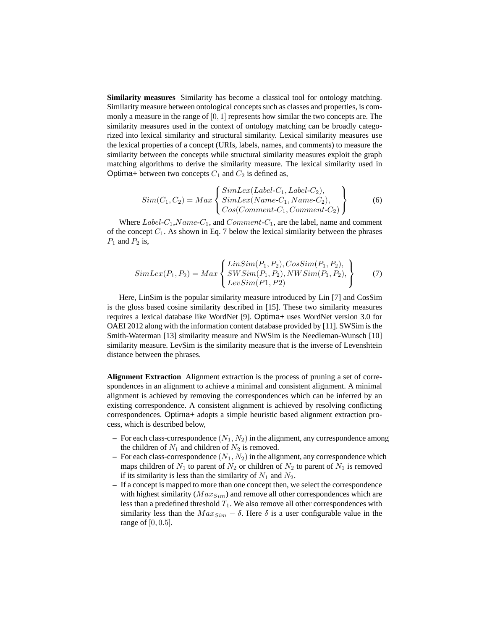**Similarity measures** Similarity has become a classical tool for ontology matching. Similarity measure between ontological concepts such as classes and properties, is commonly a measure in the range of  $[0, 1]$  represents how similar the two concepts are. The similarity measures used in the context of ontology matching can be broadly categorized into lexical similarity and structural similarity. Lexical similarity measures use the lexical properties of a concept (URIs, labels, names, and comments) to measure the similarity between the concepts while structural similarity measures exploit the graph matching algorithms to derive the similarity measure. The lexical similarity used in Optima+ between two concepts  $C_1$  and  $C_2$  is defined as,

$$
Sim(C_1, C_2) = Max \begin{Bmatrix} SimLex(Label-C_1, Label-C_2), \\ SimLex(Name-C_1, Name-C_2), \\ Cos(Comment-C_1, Comment-C_2) \end{Bmatrix}
$$
 (6)

Where  $Label-C_1, Name-C_1$ , and  $Comment-C_1$ , are the label, name and comment of the concept  $C_1$ . As shown in Eq. 7 below the lexical similarity between the phrases  $P_1$  and  $P_2$  is,

$$
SimLex(P_1, P_2) = Max \begin{Bmatrix} LinSim(P_1, P_2), CosSim(P_1, P_2), \\ SWSim(P_1, P_2), NWSim(P_1, P_2), \\ LevSim(P_1, P_2) \end{Bmatrix} (7)
$$

Here, LinSim is the popular similarity measure introduced by Lin [7] and CosSim is the gloss based cosine similarity described in [15]. These two similarity measures requires a lexical database like WordNet [9]. Optima+ uses WordNet version 3.0 for OAEI 2012 along with the information content database provided by [11]. SWSim is the Smith-Waterman [13] similarity measure and NWSim is the Needleman-Wunsch [10] similarity measure. LevSim is the similarity measure that is the inverse of Levenshtein distance between the phrases.

**Alignment Extraction** Alignment extraction is the process of pruning a set of correspondences in an alignment to achieve a minimal and consistent alignment. A minimal alignment is achieved by removing the correspondences which can be inferred by an existing correspondence. A consistent alignment is achieved by resolving conflicting correspondences. Optima+ adopts a simple heuristic based alignment extraction process, which is described below,

- For each class-correspondence  $(N_1, N_2)$  in the alignment, any correspondence among the children of  $N_1$  and children of  $N_2$  is removed.
- $-$  For each class-correspondence  $(N_1, N_2)$  in the alignment, any correspondence which maps children of  $N_1$  to parent of  $N_2$  or children of  $N_2$  to parent of  $N_1$  is removed if its similarity is less than the similarity of  $N_1$  and  $N_2$ .
- **–** If a concept is mapped to more than one concept then, we select the correspondence with highest similarity ( $Max_{Sim}$ ) and remove all other correspondences which are less than a predefined threshold  $T_1$ . We also remove all other correspondences with similarity less than the  $Max_{Sim} - \delta$ . Here  $\delta$  is a user configurable value in the range of  $[0, 0.5]$ .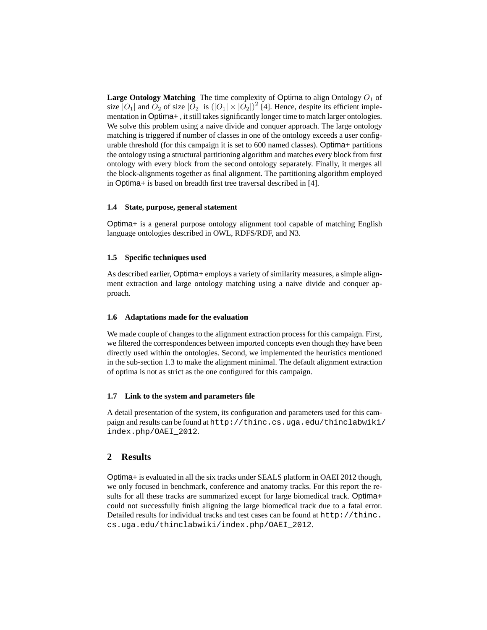**Large Ontology Matching** The time complexity of Optima to align Ontology  $O_1$  of size  $|O_1|$  and  $O_2$  of size  $|O_2|$  is  $(|O_1| \times |O_2|)^2$  [4]. Hence, despite its efficient implementation in Optima+ , it still takes significantly longer time to match larger ontologies. We solve this problem using a naive divide and conquer approach. The large ontology matching is triggered if number of classes in one of the ontology exceeds a user configurable threshold (for this campaign it is set to 600 named classes). Optima+ partitions the ontology using a structural partitioning algorithm and matches every block from first ontology with every block from the second ontology separately. Finally, it merges all the block-alignments together as final alignment. The partitioning algorithm employed in Optima+ is based on breadth first tree traversal described in [4].

### **1.4 State, purpose, general statement**

Optima+ is a general purpose ontology alignment tool capable of matching English language ontologies described in OWL, RDFS/RDF, and N3.

### **1.5 Specific techniques used**

As described earlier, Optima+ employs a variety of similarity measures, a simple alignment extraction and large ontology matching using a naive divide and conquer approach.

### **1.6 Adaptations made for the evaluation**

We made couple of changes to the alignment extraction process for this campaign. First, we filtered the correspondences between imported concepts even though they have been directly used within the ontologies. Second, we implemented the heuristics mentioned in the sub-section 1.3 to make the alignment minimal. The default alignment extraction of optima is not as strict as the one configured for this campaign.

### **1.7 Link to the system and parameters file**

A detail presentation of the system, its configuration and parameters used for this campaign and results can be found at http://thinc.cs.uga.edu/thinclabwiki/ index.php/OAEI\_2012.

## **2 Results**

Optima+ is evaluated in all the six tracks under SEALS platform in OAEI 2012 though, we only focused in benchmark, conference and anatomy tracks. For this report the results for all these tracks are summarized except for large biomedical track. Optima+ could not successfully finish aligning the large biomedical track due to a fatal error. Detailed results for individual tracks and test cases can be found at http://thinc. cs.uga.edu/thinclabwiki/index.php/OAEI\_2012.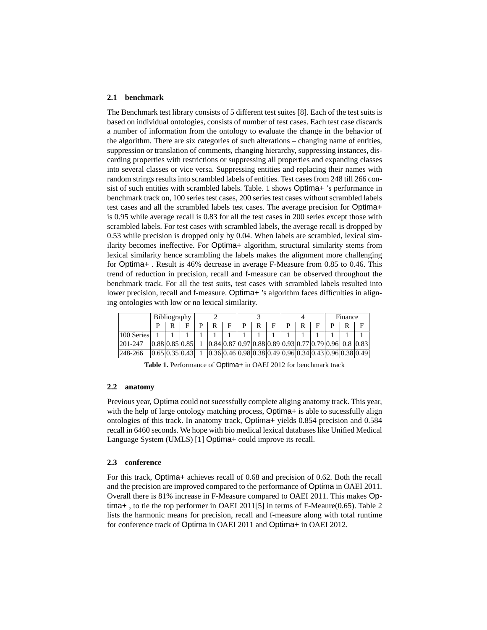#### **2.1 benchmark**

The Benchmark test library consists of 5 different test suites [8]. Each of the test suits is based on individual ontologies, consists of number of test cases. Each test case discards a number of information from the ontology to evaluate the change in the behavior of the algorithm. There are six categories of such alterations – changing name of entities, suppression or translation of comments, changing hierarchy, suppressing instances, discarding properties with restrictions or suppressing all properties and expanding classes into several classes or vice versa. Suppressing entities and replacing their names with random strings results into scrambled labels of entities. Test cases from 248 till 266 consist of such entities with scrambled labels. Table. 1 shows Optima+ 's performance in benchmark track on, 100 series test cases, 200 series test cases without scrambled labels test cases and all the scrambled labels test cases. The average precision for Optima+ is 0.95 while average recall is 0.83 for all the test cases in 200 series except those with scrambled labels. For test cases with scrambled labels, the average recall is dropped by 0.53 while precision is dropped only by 0.04. When labels are scrambled, lexical similarity becomes ineffective. For Optima+ algorithm, structural similarity stems from lexical similarity hence scrambling the labels makes the alignment more challenging for Optima+ . Result is 46% decrease in average F-Measure from 0.85 to 0.46. This trend of reduction in precision, recall and f-measure can be observed throughout the benchmark track. For all the test suits, test cases with scrambled labels resulted into lower precision, recall and f-measure. Optima+ 's algorithm faces difficulties in aligning ontologies with low or no lexical similarity.

|              | <b>Bibliography</b> |   |                   |  |  |  |   |   |   |   |   |  | Finance |  |                                                            |
|--------------|---------------------|---|-------------------|--|--|--|---|---|---|---|---|--|---------|--|------------------------------------------------------------|
|              | D                   | R |                   |  |  |  | D | R | F | D | R |  |         |  | F                                                          |
| 100 Series   |                     |   |                   |  |  |  |   |   |   |   |   |  |         |  |                                                            |
| $ 201 - 247$ |                     |   | [0.88]0.85]0.85   |  |  |  |   |   |   |   |   |  |         |  | $[0.84]0.87]0.97]0.88]0.89]0.93]0.77]0.79]0.96]0.8]0.83]$  |
| 248-266      |                     |   | [0.65] 0.35] 0.43 |  |  |  |   |   |   |   |   |  |         |  | $[0.36]0.46]0.98]0.38]0.49]0.96]0.34]0.43]0.96]0.38]0.49]$ |

**Table 1.** Performance of Optima+ in OAEI 2012 for benchmark track

### **2.2 anatomy**

Previous year, Optima could not sucessfully complete aliging anatomy track. This year, with the help of large ontology matching process, Optima+ is able to sucessfully align ontologies of this track. In anatomy track, Optima+ yields 0.854 precision and 0.584 recall in 6460 seconds. We hope with bio medical lexical databases like Unified Medical Language System (UMLS) [1] Optima+ could improve its recall.

#### **2.3 conference**

For this track, Optima+ achieves recall of 0.68 and precision of 0.62. Both the recall and the precision are improved compared to the performance of Optima in OAEI 2011. Overall there is 81% increase in F-Measure compared to OAEI 2011. This makes Optima+ , to tie the top performer in OAEI 2011[5] in terms of F-Meaure(0.65). Table 2 lists the harmonic means for precision, recall and f-measure along with total runtime for conference track of Optima in OAEI 2011 and Optima+ in OAEI 2012.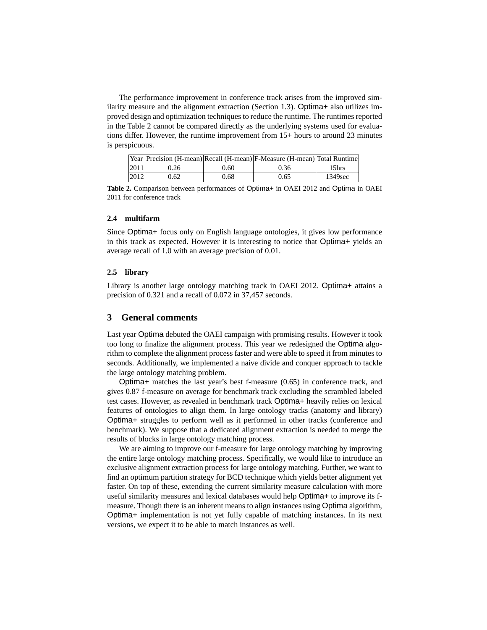The performance improvement in conference track arises from the improved similarity measure and the alignment extraction (Section 1.3). Optima+ also utilizes improved design and optimization techniques to reduce the runtime. The runtimes reported in the Table 2 cannot be compared directly as the underlying systems used for evaluations differ. However, the runtime improvement from 15+ hours to around 23 minutes is perspicuous.

|      |      |      | [Year   Precision (H-mean)   Recall (H-mean)   F-Measure (H-mean)   Total Runtime |         |
|------|------|------|-----------------------------------------------------------------------------------|---------|
| 2011 | 9.26 | 0.60 | 0.36                                                                              | 15hrs   |
| 2012 | 0.62 | 0.68 | 0.65                                                                              | 1349sec |

**Table 2.** Comparison between performances of Optima+ in OAEI 2012 and Optima in OAEI 2011 for conference track

## **2.4 multifarm**

Since Optima+ focus only on English language ontologies, it gives low performance in this track as expected. However it is interesting to notice that Optima+ yields an average recall of 1.0 with an average precision of 0.01.

### **2.5 library**

Library is another large ontology matching track in OAEI 2012. Optima+ attains a precision of 0.321 and a recall of 0.072 in 37,457 seconds.

## **3 General comments**

Last year Optima debuted the OAEI campaign with promising results. However it took too long to finalize the alignment process. This year we redesigned the Optima algorithm to complete the alignment process faster and were able to speed it from minutes to seconds. Additionally, we implemented a naive divide and conquer approach to tackle the large ontology matching problem.

Optima+ matches the last year's best f-measure (0.65) in conference track, and gives 0.87 f-measure on average for benchmark track excluding the scrambled labeled test cases. However, as revealed in benchmark track Optima+ heavily relies on lexical features of ontologies to align them. In large ontology tracks (anatomy and library) Optima+ struggles to perform well as it performed in other tracks (conference and benchmark). We suppose that a dedicated alignment extraction is needed to merge the results of blocks in large ontology matching process.

We are aiming to improve our f-measure for large ontology matching by improving the entire large ontology matching process. Specifically, we would like to introduce an exclusive alignment extraction process for large ontology matching. Further, we want to find an optimum partition strategy for BCD technique which yields better alignment yet faster. On top of these, extending the current similarity measure calculation with more useful similarity measures and lexical databases would help Optima+ to improve its fmeasure. Though there is an inherent means to align instances using Optima algorithm, Optima+ implementation is not yet fully capable of matching instances. In its next versions, we expect it to be able to match instances as well.